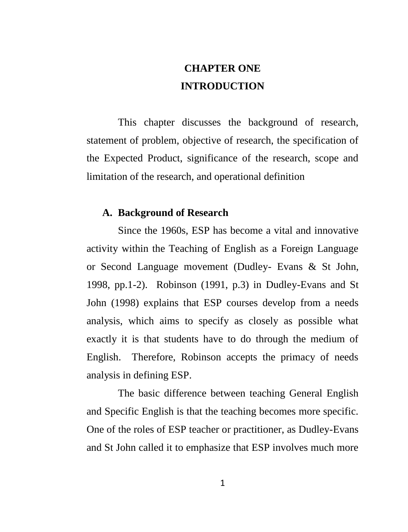# **CHAPTER ONE INTRODUCTION**

This chapter discusses the background of research, statement of problem, objective of research, the specification of the Expected Product, significance of the research, scope and limitation of the research, and operational definition

### **A. Background of Research**

Since the 1960s, ESP has become a vital and innovative activity within the Teaching of English as a Foreign Language or Second Language movement (Dudley- Evans & St John, 1998, pp.1-2). Robinson (1991, p.3) in Dudley-Evans and St John (1998) explains that ESP courses develop from a needs analysis, which aims to specify as closely as possible what exactly it is that students have to do through the medium of English. Therefore, Robinson accepts the primacy of needs analysis in defining ESP.

The basic difference between teaching General English and Specific English is that the teaching becomes more specific. One of the roles of ESP teacher or practitioner, as Dudley-Evans and St John called it to emphasize that ESP involves much more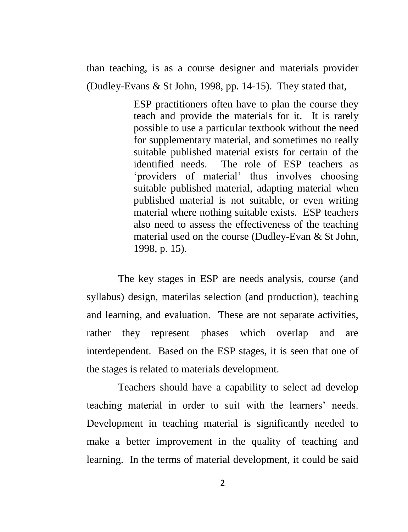than teaching, is as a course designer and materials provider (Dudley-Evans & St John, 1998, pp. 14-15). They stated that,

> ESP practitioners often have to plan the course they teach and provide the materials for it. It is rarely possible to use a particular textbook without the need for supplementary material, and sometimes no really suitable published material exists for certain of the identified needs. The role of ESP teachers as 'providers of material' thus involves choosing suitable published material, adapting material when published material is not suitable, or even writing material where nothing suitable exists. ESP teachers also need to assess the effectiveness of the teaching material used on the course (Dudley-Evan & St John, 1998, p. 15).

The key stages in ESP are needs analysis, course (and syllabus) design, materilas selection (and production), teaching and learning, and evaluation. These are not separate activities, rather they represent phases which overlap and are interdependent. Based on the ESP stages, it is seen that one of the stages is related to materials development.

Teachers should have a capability to select ad develop teaching material in order to suit with the learners' needs. Development in teaching material is significantly needed to make a better improvement in the quality of teaching and learning. In the terms of material development, it could be said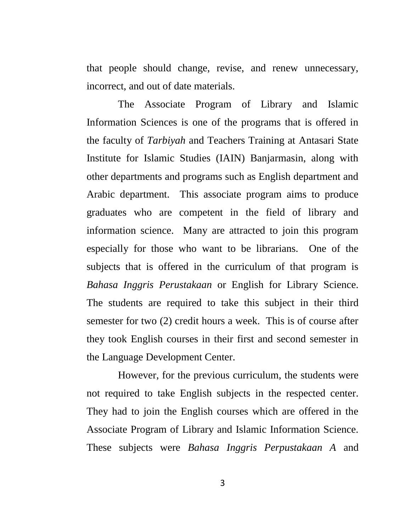that people should change, revise, and renew unnecessary, incorrect, and out of date materials.

The Associate Program of Library and Islamic Information Sciences is one of the programs that is offered in the faculty of *Tarbiyah* and Teachers Training at Antasari State Institute for Islamic Studies (IAIN) Banjarmasin, along with other departments and programs such as English department and Arabic department. This associate program aims to produce graduates who are competent in the field of library and information science. Many are attracted to join this program especially for those who want to be librarians. One of the subjects that is offered in the curriculum of that program is *Bahasa Inggris Perustakaan* or English for Library Science. The students are required to take this subject in their third semester for two (2) credit hours a week. This is of course after they took English courses in their first and second semester in the Language Development Center.

However, for the previous curriculum, the students were not required to take English subjects in the respected center. They had to join the English courses which are offered in the Associate Program of Library and Islamic Information Science. These subjects were *Bahasa Inggris Perpustakaan A* and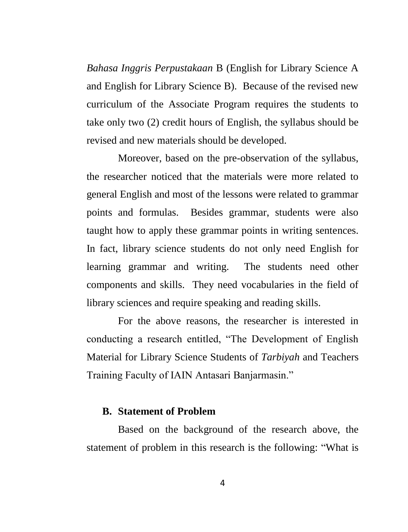*Bahasa Inggris Perpustakaan* B (English for Library Science A and English for Library Science B). Because of the revised new curriculum of the Associate Program requires the students to take only two (2) credit hours of English, the syllabus should be revised and new materials should be developed.

Moreover, based on the pre-observation of the syllabus, the researcher noticed that the materials were more related to general English and most of the lessons were related to grammar points and formulas. Besides grammar, students were also taught how to apply these grammar points in writing sentences. In fact, library science students do not only need English for learning grammar and writing. The students need other components and skills. They need vocabularies in the field of library sciences and require speaking and reading skills.

For the above reasons, the researcher is interested in conducting a research entitled, "The Development of English Material for Library Science Students of *Tarbiyah* and Teachers Training Faculty of IAIN Antasari Banjarmasin."

#### **B. Statement of Problem**

Based on the background of the research above, the statement of problem in this research is the following: "What is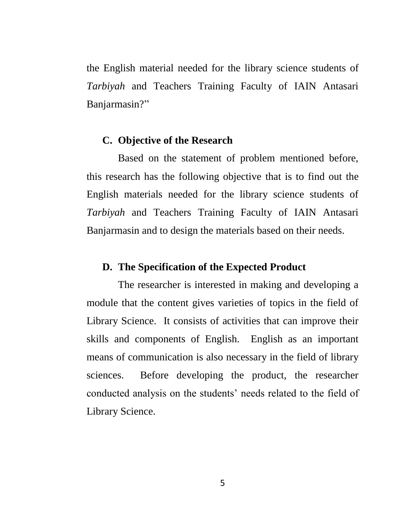the English material needed for the library science students of *Tarbiyah* and Teachers Training Faculty of IAIN Antasari Banjarmasin?"

### **C. Objective of the Research**

Based on the statement of problem mentioned before, this research has the following objective that is to find out the English materials needed for the library science students of *Tarbiyah* and Teachers Training Faculty of IAIN Antasari Banjarmasin and to design the materials based on their needs.

### **D. The Specification of the Expected Product**

The researcher is interested in making and developing a module that the content gives varieties of topics in the field of Library Science. It consists of activities that can improve their skills and components of English. English as an important means of communication is also necessary in the field of library sciences. Before developing the product, the researcher conducted analysis on the students" needs related to the field of Library Science.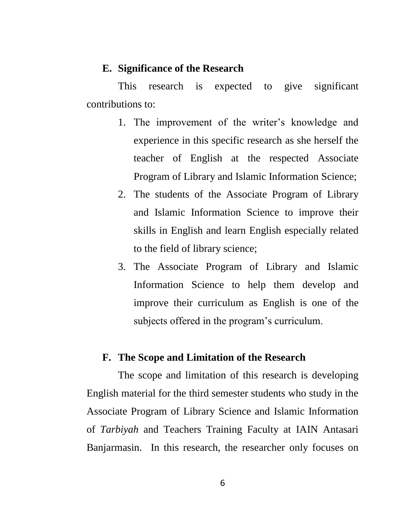### **E. Significance of the Research**

This research is expected to give significant contributions to:

- 1. The improvement of the writer"s knowledge and experience in this specific research as she herself the teacher of English at the respected Associate Program of Library and Islamic Information Science;
- 2. The students of the Associate Program of Library and Islamic Information Science to improve their skills in English and learn English especially related to the field of library science;
- 3. The Associate Program of Library and Islamic Information Science to help them develop and improve their curriculum as English is one of the subjects offered in the program's curriculum.

#### **F. The Scope and Limitation of the Research**

The scope and limitation of this research is developing English material for the third semester students who study in the Associate Program of Library Science and Islamic Information of *Tarbiyah* and Teachers Training Faculty at IAIN Antasari Banjarmasin. In this research, the researcher only focuses on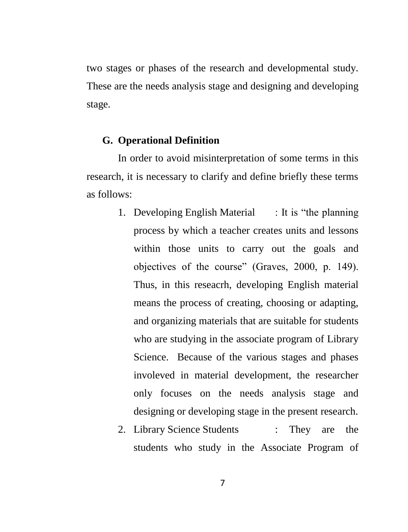two stages or phases of the research and developmental study. These are the needs analysis stage and designing and developing stage.

### **G. Operational Definition**

In order to avoid misinterpretation of some terms in this research, it is necessary to clarify and define briefly these terms as follows:

- 1. Developing English Material : It is "the planning process by which a teacher creates units and lessons within those units to carry out the goals and objectives of the course" (Graves, 2000, p. 149). Thus, in this reseacrh, developing English material means the process of creating, choosing or adapting, and organizing materials that are suitable for students who are studying in the associate program of Library Science. Because of the various stages and phases involeved in material development, the researcher only focuses on the needs analysis stage and designing or developing stage in the present research.
- 2. Library Science Students : They are the students who study in the Associate Program of

7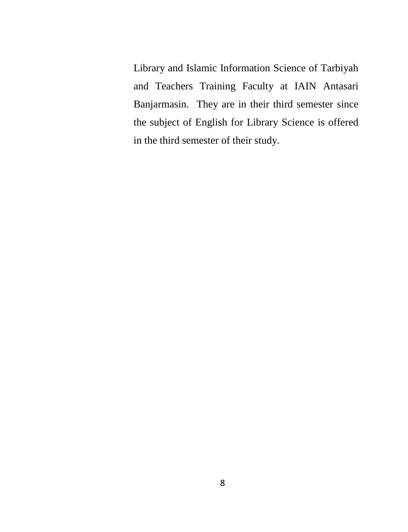Library and Islamic Information Science of Tarbiyah and Teachers Training Faculty at IAIN Antasari Banjarmasin. They are in their third semester since the subject of English for Library Science is offered in the third semester of their study.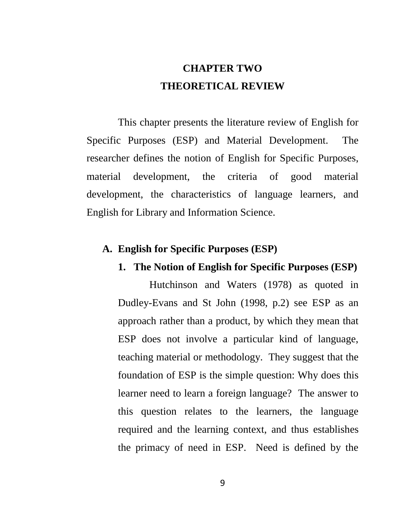# **CHAPTER TWO THEORETICAL REVIEW**

This chapter presents the literature review of English for Specific Purposes (ESP) and Material Development. The researcher defines the notion of English for Specific Purposes, material development, the criteria of good material development, the characteristics of language learners, and English for Library and Information Science.

### **A. English for Specific Purposes (ESP)**

### **1. The Notion of English for Specific Purposes (ESP)**

Hutchinson and Waters (1978) as quoted in Dudley-Evans and St John (1998, p.2) see ESP as an approach rather than a product, by which they mean that ESP does not involve a particular kind of language, teaching material or methodology. They suggest that the foundation of ESP is the simple question: Why does this learner need to learn a foreign language? The answer to this question relates to the learners, the language required and the learning context, and thus establishes the primacy of need in ESP. Need is defined by the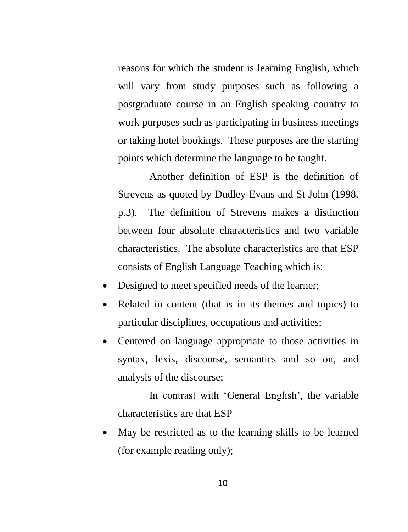reasons for which the student is learning English, which will vary from study purposes such as following a postgraduate course in an English speaking country to work purposes such as participating in business meetings or taking hotel bookings. These purposes are the starting points which determine the language to be taught.

Another definition of ESP is the definition of Strevens as quoted by Dudley-Evans and St John (1998, p.3). The definition of Strevens makes a distinction between four absolute characteristics and two variable characteristics. The absolute characteristics are that ESP consists of English Language Teaching which is:

- Designed to meet specified needs of the learner;
- Related in content (that is in its themes and topics) to particular disciplines, occupations and activities;
- Centered on language appropriate to those activities in syntax, lexis, discourse, semantics and so on, and analysis of the discourse;

In contrast with 'General English', the variable characteristics are that ESP

 May be restricted as to the learning skills to be learned (for example reading only);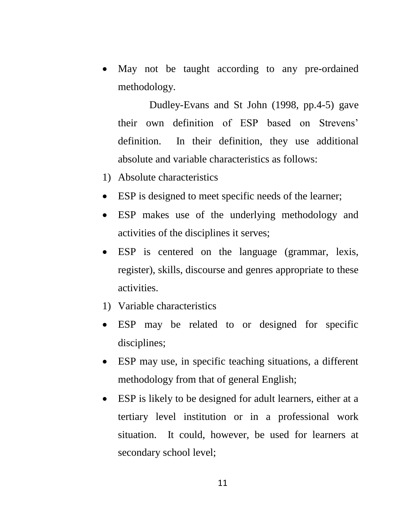May not be taught according to any pre-ordained methodology.

Dudley-Evans and St John (1998, pp.4-5) gave their own definition of ESP based on Strevens" definition. In their definition, they use additional absolute and variable characteristics as follows:

- 1) Absolute characteristics
- ESP is designed to meet specific needs of the learner;
- ESP makes use of the underlying methodology and activities of the disciplines it serves;
- ESP is centered on the language (grammar, lexis, register), skills, discourse and genres appropriate to these activities.
- 1) Variable characteristics
- ESP may be related to or designed for specific disciplines;
- ESP may use, in specific teaching situations, a different methodology from that of general English;
- ESP is likely to be designed for adult learners, either at a tertiary level institution or in a professional work situation. It could, however, be used for learners at secondary school level;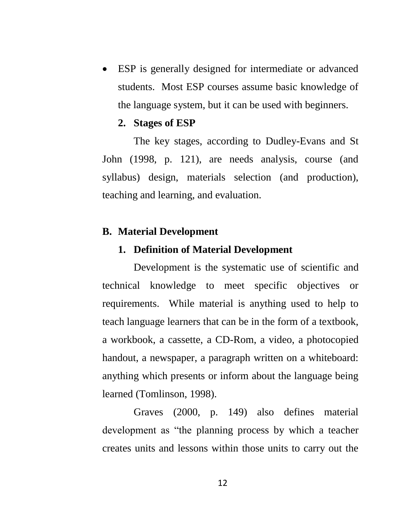ESP is generally designed for intermediate or advanced students. Most ESP courses assume basic knowledge of the language system, but it can be used with beginners.

### **2. Stages of ESP**

The key stages, according to Dudley-Evans and St John (1998, p. 121), are needs analysis, course (and syllabus) design, materials selection (and production), teaching and learning, and evaluation.

### **B. Material Development**

### **1. Definition of Material Development**

Development is the systematic use of scientific and technical knowledge to meet specific objectives or requirements. While material is anything used to help to teach language learners that can be in the form of a textbook, a workbook, a cassette, a CD-Rom, a video, a photocopied handout, a newspaper, a paragraph written on a whiteboard: anything which presents or inform about the language being learned (Tomlinson, 1998).

Graves (2000, p. 149) also defines material development as "the planning process by which a teacher creates units and lessons within those units to carry out the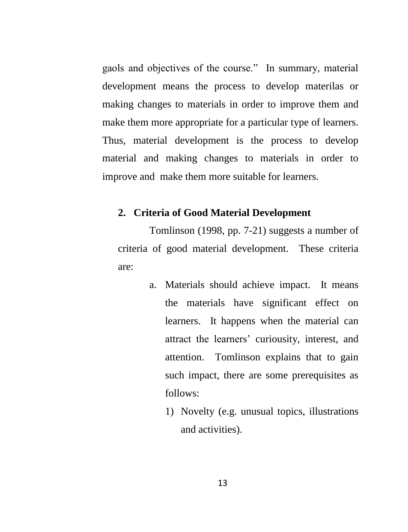gaols and objectives of the course." In summary, material development means the process to develop materilas or making changes to materials in order to improve them and make them more appropriate for a particular type of learners. Thus, material development is the process to develop material and making changes to materials in order to improve and make them more suitable for learners.

### **2. Criteria of Good Material Development**

Tomlinson (1998, pp. 7-21) suggests a number of criteria of good material development. These criteria are:

- a. Materials should achieve impact. It means the materials have significant effect on learners. It happens when the material can attract the learners" curiousity, interest, and attention. Tomlinson explains that to gain such impact, there are some prerequisites as follows:
	- 1) Novelty (e.g. unusual topics, illustrations and activities).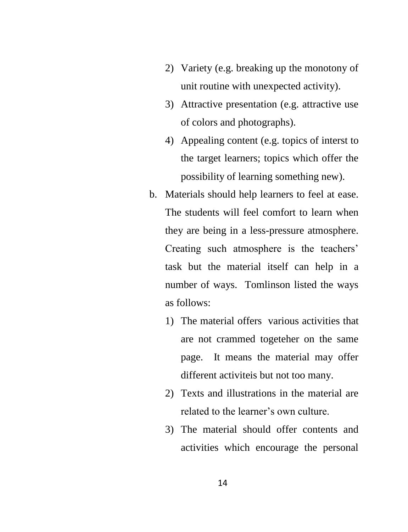- 2) Variety (e.g. breaking up the monotony of unit routine with unexpected activity).
- 3) Attractive presentation (e.g. attractive use of colors and photographs).
- 4) Appealing content (e.g. topics of interst to the target learners; topics which offer the possibility of learning something new).
- b. Materials should help learners to feel at ease. The students will feel comfort to learn when they are being in a less-pressure atmosphere. Creating such atmosphere is the teachers' task but the material itself can help in a number of ways. Tomlinson listed the ways as follows:
	- 1) The material offers various activities that are not crammed togeteher on the same page. It means the material may offer different activiteis but not too many.
	- 2) Texts and illustrations in the material are related to the learner's own culture.
	- 3) The material should offer contents and activities which encourage the personal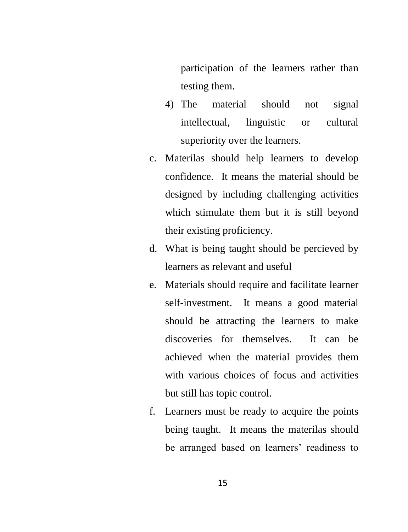participation of the learners rather than testing them.

- 4) The material should not signal intellectual, linguistic or cultural superiority over the learners.
- c. Materilas should help learners to develop confidence. It means the material should be designed by including challenging activities which stimulate them but it is still beyond their existing proficiency.
- d. What is being taught should be percieved by learners as relevant and useful
- e. Materials should require and facilitate learner self-investment. It means a good material should be attracting the learners to make discoveries for themselves. It can be achieved when the material provides them with various choices of focus and activities but still has topic control.
- f. Learners must be ready to acquire the points being taught. It means the materilas should be arranged based on learners' readiness to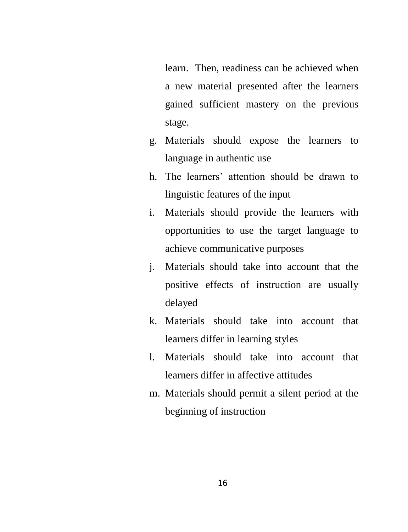learn. Then, readiness can be achieved when a new material presented after the learners gained sufficient mastery on the previous stage.

- g. Materials should expose the learners to language in authentic use
- h. The learners' attention should be drawn to linguistic features of the input
- i. Materials should provide the learners with opportunities to use the target language to achieve communicative purposes
- j. Materials should take into account that the positive effects of instruction are usually delayed
- k. Materials should take into account that learners differ in learning styles
- l. Materials should take into account that learners differ in affective attitudes
- m. Materials should permit a silent period at the beginning of instruction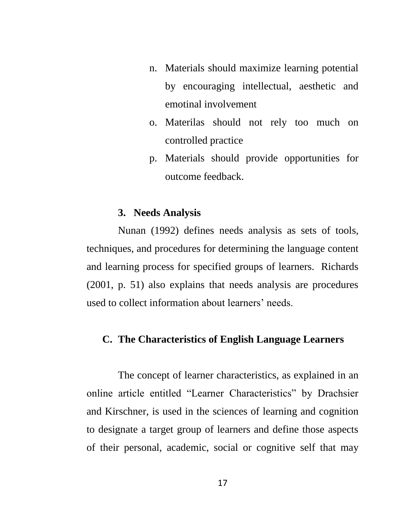- n. Materials should maximize learning potential by encouraging intellectual, aesthetic and emotinal involvement
- o. Materilas should not rely too much on controlled practice
- p. Materials should provide opportunities for outcome feedback.

#### **3. Needs Analysis**

Nunan (1992) defines needs analysis as sets of tools, techniques, and procedures for determining the language content and learning process for specified groups of learners. Richards (2001, p. 51) also explains that needs analysis are procedures used to collect information about learners' needs.

### **C. The Characteristics of English Language Learners**

The concept of learner characteristics, as explained in an online article entitled "Learner Characteristics" by Drachsier and Kirschner, is used in the sciences of learning and cognition to designate a target group of learners and define those aspects of their personal, academic, social or cognitive self that may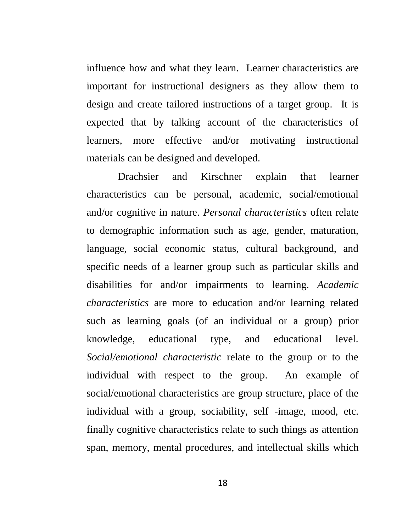influence how and what they learn. Learner characteristics are important for instructional designers as they allow them to design and create tailored instructions of a target group. It is expected that by talking account of the characteristics of learners, more effective and/or motivating instructional materials can be designed and developed.

Drachsier and Kirschner explain that learner characteristics can be personal, academic, social/emotional and/or cognitive in nature. *Personal characteristics* often relate to demographic information such as age, gender, maturation, language, social economic status, cultural background, and specific needs of a learner group such as particular skills and disabilities for and/or impairments to learning. *Academic characteristics* are more to education and/or learning related such as learning goals (of an individual or a group) prior knowledge, educational type, and educational level. *Social/emotional characteristic* relate to the group or to the individual with respect to the group. An example of social/emotional characteristics are group structure, place of the individual with a group, sociability, self -image, mood, etc. finally cognitive characteristics relate to such things as attention span, memory, mental procedures, and intellectual skills which

18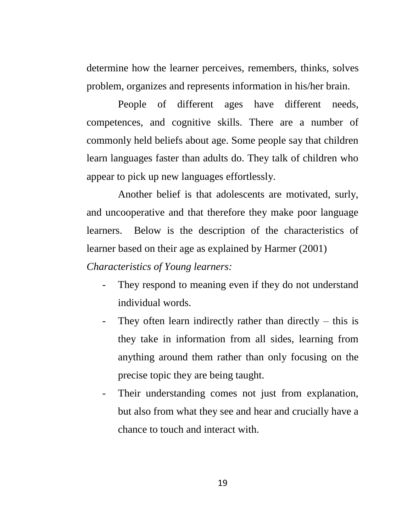determine how the learner perceives, remembers, thinks, solves problem, organizes and represents information in his/her brain.

People of different ages have different needs, competences, and cognitive skills. There are a number of commonly held beliefs about age. Some people say that children learn languages faster than adults do. They talk of children who appear to pick up new languages effortlessly.

Another belief is that adolescents are motivated, surly, and uncooperative and that therefore they make poor language learners. Below is the description of the characteristics of learner based on their age as explained by Harmer (2001)

*Characteristics of Young learners:*

- They respond to meaning even if they do not understand individual words.
- They often learn indirectly rather than directly this is they take in information from all sides, learning from anything around them rather than only focusing on the precise topic they are being taught.
- Their understanding comes not just from explanation, but also from what they see and hear and crucially have a chance to touch and interact with.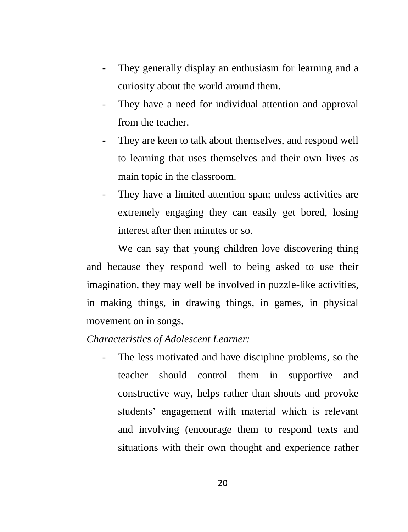- They generally display an enthusiasm for learning and a curiosity about the world around them.
- They have a need for individual attention and approval from the teacher.
- They are keen to talk about themselves, and respond well to learning that uses themselves and their own lives as main topic in the classroom.
- They have a limited attention span; unless activities are extremely engaging they can easily get bored, losing interest after then minutes or so.

We can say that young children love discovering thing and because they respond well to being asked to use their imagination, they may well be involved in puzzle-like activities, in making things, in drawing things, in games, in physical movement on in songs.

*Characteristics of Adolescent Learner:*

The less motivated and have discipline problems, so the teacher should control them in supportive and constructive way, helps rather than shouts and provoke students" engagement with material which is relevant and involving (encourage them to respond texts and situations with their own thought and experience rather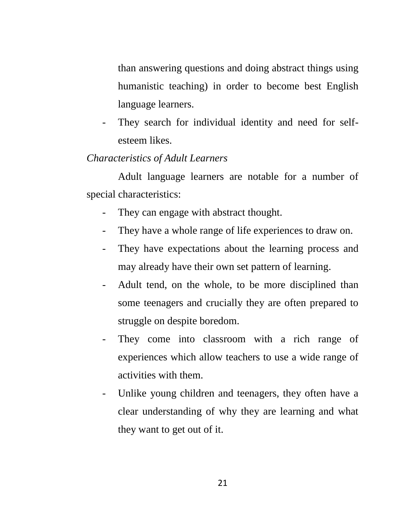than answering questions and doing abstract things using humanistic teaching) in order to become best English language learners.

They search for individual identity and need for selfesteem likes.

### *Characteristics of Adult Learners*

Adult language learners are notable for a number of special characteristics:

- They can engage with abstract thought.
- They have a whole range of life experiences to draw on.
- They have expectations about the learning process and may already have their own set pattern of learning.
- Adult tend, on the whole, to be more disciplined than some teenagers and crucially they are often prepared to struggle on despite boredom.
- They come into classroom with a rich range of experiences which allow teachers to use a wide range of activities with them.
- Unlike young children and teenagers, they often have a clear understanding of why they are learning and what they want to get out of it.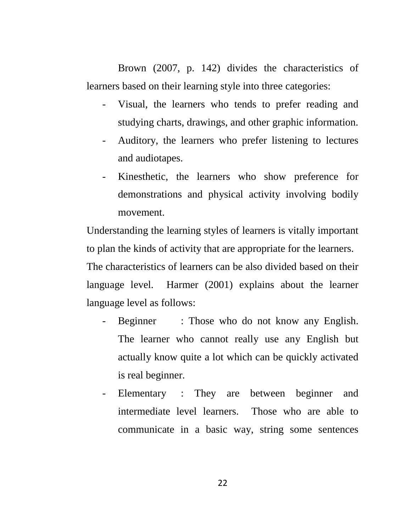Brown (2007, p. 142) divides the characteristics of learners based on their learning style into three categories:

- Visual, the learners who tends to prefer reading and studying charts, drawings, and other graphic information.
- Auditory, the learners who prefer listening to lectures and audiotapes.
- Kinesthetic, the learners who show preference for demonstrations and physical activity involving bodily movement.

Understanding the learning styles of learners is vitally important to plan the kinds of activity that are appropriate for the learners.

The characteristics of learners can be also divided based on their language level. Harmer (2001) explains about the learner language level as follows:

- Beginner : Those who do not know any English. The learner who cannot really use any English but actually know quite a lot which can be quickly activated is real beginner.
- Elementary : They are between beginner and intermediate level learners. Those who are able to communicate in a basic way, string some sentences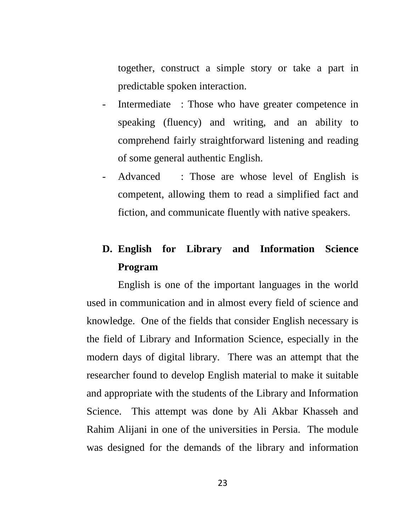together, construct a simple story or take a part in predictable spoken interaction.

- Intermediate : Those who have greater competence in speaking (fluency) and writing, and an ability to comprehend fairly straightforward listening and reading of some general authentic English.
- Advanced : Those are whose level of English is competent, allowing them to read a simplified fact and fiction, and communicate fluently with native speakers.

# **D. English for Library and Information Science Program**

English is one of the important languages in the world used in communication and in almost every field of science and knowledge. One of the fields that consider English necessary is the field of Library and Information Science, especially in the modern days of digital library. There was an attempt that the researcher found to develop English material to make it suitable and appropriate with the students of the Library and Information Science. This attempt was done by Ali Akbar Khasseh and Rahim Alijani in one of the universities in Persia. The module was designed for the demands of the library and information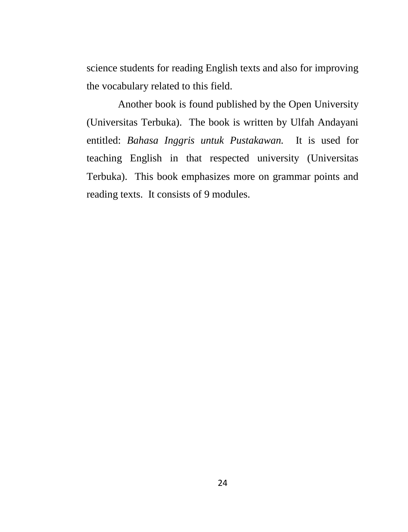science students for reading English texts and also for improving the vocabulary related to this field.

Another book is found published by the Open University (Universitas Terbuka). The book is written by Ulfah Andayani entitled: *Bahasa Inggris untuk Pustakawan.* It is used for teaching English in that respected university (Universitas Terbuka). This book emphasizes more on grammar points and reading texts. It consists of 9 modules.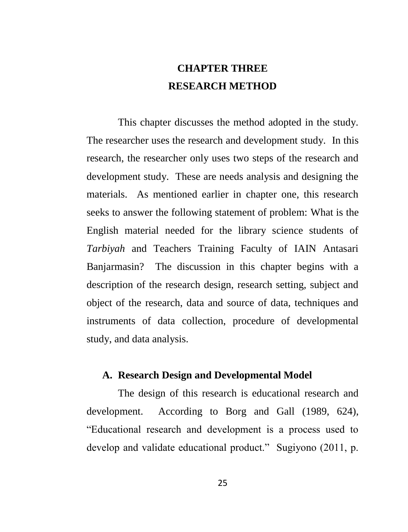# **CHAPTER THREE RESEARCH METHOD**

This chapter discusses the method adopted in the study. The researcher uses the research and development study. In this research, the researcher only uses two steps of the research and development study. These are needs analysis and designing the materials. As mentioned earlier in chapter one, this research seeks to answer the following statement of problem: What is the English material needed for the library science students of *Tarbiyah* and Teachers Training Faculty of IAIN Antasari Banjarmasin? The discussion in this chapter begins with a description of the research design, research setting, subject and object of the research, data and source of data, techniques and instruments of data collection, procedure of developmental study, and data analysis.

### **A. Research Design and Developmental Model**

The design of this research is educational research and development. According to Borg and Gall (1989, 624), "Educational research and development is a process used to develop and validate educational product." Sugiyono (2011, p.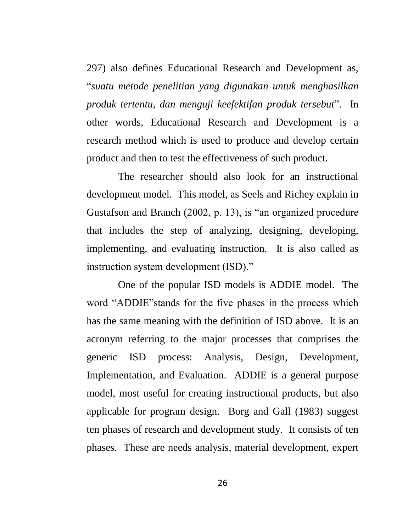297) also defines Educational Research and Development as, "*suatu metode penelitian yang digunakan untuk menghasilkan produk tertentu, dan menguji keefektifan produk tersebut*". In other words, Educational Research and Development is a research method which is used to produce and develop certain product and then to test the effectiveness of such product.

The researcher should also look for an instructional development model. This model, as Seels and Richey explain in Gustafson and Branch (2002, p. 13), is "an organized procedure that includes the step of analyzing, designing, developing, implementing, and evaluating instruction. It is also called as instruction system development (ISD)."

One of the popular ISD models is ADDIE model. The word "ADDIE"stands for the five phases in the process which has the same meaning with the definition of ISD above. It is an acronym referring to the major processes that comprises the generic ISD process: Analysis, Design, Development, Implementation, and Evaluation. ADDIE is a general purpose model, most useful for creating instructional products, but also applicable for program design. Borg and Gall (1983) suggest ten phases of research and development study. It consists of ten phases. These are needs analysis, material development, expert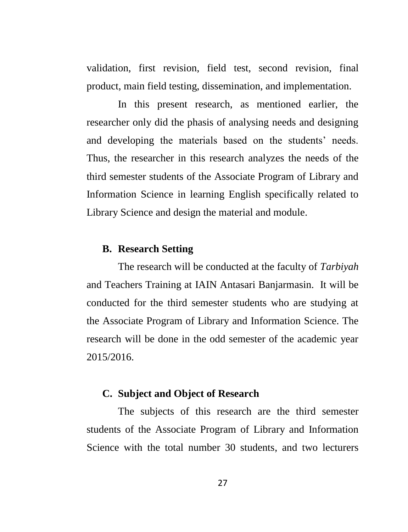validation, first revision, field test, second revision, final product, main field testing, dissemination, and implementation.

In this present research, as mentioned earlier, the researcher only did the phasis of analysing needs and designing and developing the materials based on the students' needs. Thus, the researcher in this research analyzes the needs of the third semester students of the Associate Program of Library and Information Science in learning English specifically related to Library Science and design the material and module.

### **B. Research Setting**

The research will be conducted at the faculty of *Tarbiyah* and Teachers Training at IAIN Antasari Banjarmasin. It will be conducted for the third semester students who are studying at the Associate Program of Library and Information Science. The research will be done in the odd semester of the academic year 2015/2016.

### **C. Subject and Object of Research**

The subjects of this research are the third semester students of the Associate Program of Library and Information Science with the total number 30 students, and two lecturers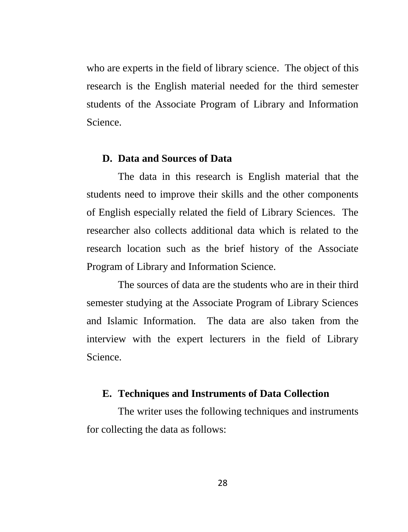who are experts in the field of library science. The object of this research is the English material needed for the third semester students of the Associate Program of Library and Information Science.

#### **D. Data and Sources of Data**

The data in this research is English material that the students need to improve their skills and the other components of English especially related the field of Library Sciences. The researcher also collects additional data which is related to the research location such as the brief history of the Associate Program of Library and Information Science.

The sources of data are the students who are in their third semester studying at the Associate Program of Library Sciences and Islamic Information. The data are also taken from the interview with the expert lecturers in the field of Library Science.

### **E. Techniques and Instruments of Data Collection**

The writer uses the following techniques and instruments for collecting the data as follows: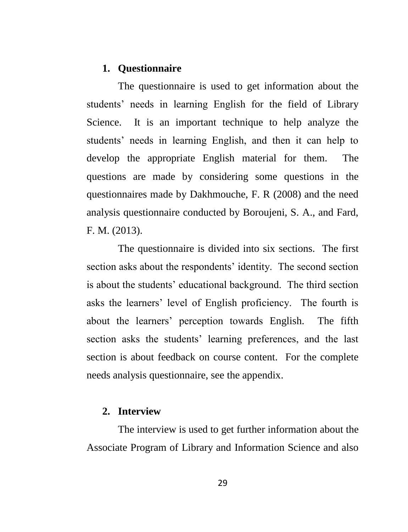### **1. Questionnaire**

The questionnaire is used to get information about the students' needs in learning English for the field of Library Science. It is an important technique to help analyze the students' needs in learning English, and then it can help to develop the appropriate English material for them. The questions are made by considering some questions in the questionnaires made by Dakhmouche, F. R (2008) and the need analysis questionnaire conducted by Boroujeni, S. A., and Fard, F. M. (2013).

The questionnaire is divided into six sections. The first section asks about the respondents' identity. The second section is about the students' educational background. The third section asks the learners' level of English proficiency. The fourth is about the learners" perception towards English. The fifth section asks the students' learning preferences, and the last section is about feedback on course content. For the complete needs analysis questionnaire, see the appendix.

### **2. Interview**

The interview is used to get further information about the Associate Program of Library and Information Science and also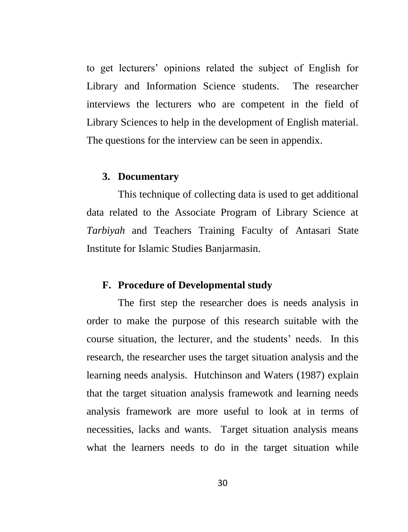to get lecturers" opinions related the subject of English for Library and Information Science students. The researcher interviews the lecturers who are competent in the field of Library Sciences to help in the development of English material. The questions for the interview can be seen in appendix.

#### **3. Documentary**

This technique of collecting data is used to get additional data related to the Associate Program of Library Science at *Tarbiyah* and Teachers Training Faculty of Antasari State Institute for Islamic Studies Banjarmasin.

### **F. Procedure of Developmental study**

The first step the researcher does is needs analysis in order to make the purpose of this research suitable with the course situation, the lecturer, and the students' needs. In this research, the researcher uses the target situation analysis and the learning needs analysis. Hutchinson and Waters (1987) explain that the target situation analysis framewotk and learning needs analysis framework are more useful to look at in terms of necessities, lacks and wants. Target situation analysis means what the learners needs to do in the target situation while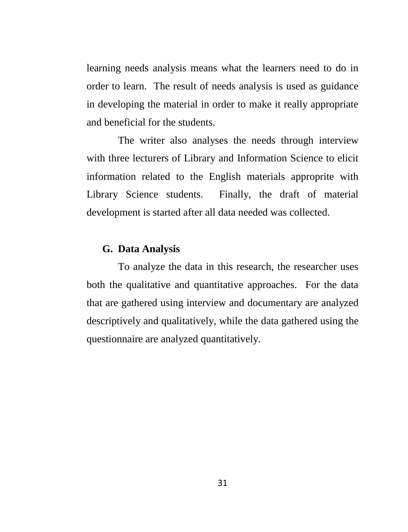learning needs analysis means what the learners need to do in order to learn. The result of needs analysis is used as guidance in developing the material in order to make it really appropriate and beneficial for the students.

The writer also analyses the needs through interview with three lecturers of Library and Information Science to elicit information related to the English materials approprite with Library Science students. Finally, the draft of material development is started after all data needed was collected.

### **G. Data Analysis**

To analyze the data in this research, the researcher uses both the qualitative and quantitative approaches. For the data that are gathered using interview and documentary are analyzed descriptively and qualitatively, while the data gathered using the questionnaire are analyzed quantitatively.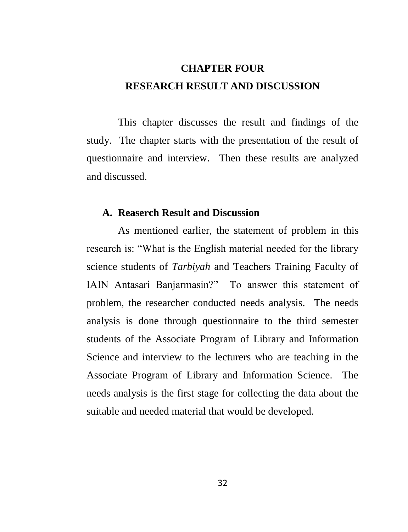# **CHAPTER FOUR RESEARCH RESULT AND DISCUSSION**

This chapter discusses the result and findings of the study. The chapter starts with the presentation of the result of questionnaire and interview. Then these results are analyzed and discussed.

#### **A. Reaserch Result and Discussion**

As mentioned earlier, the statement of problem in this research is: "What is the English material needed for the library science students of *Tarbiyah* and Teachers Training Faculty of IAIN Antasari Banjarmasin?" To answer this statement of problem, the researcher conducted needs analysis. The needs analysis is done through questionnaire to the third semester students of the Associate Program of Library and Information Science and interview to the lecturers who are teaching in the Associate Program of Library and Information Science. The needs analysis is the first stage for collecting the data about the suitable and needed material that would be developed.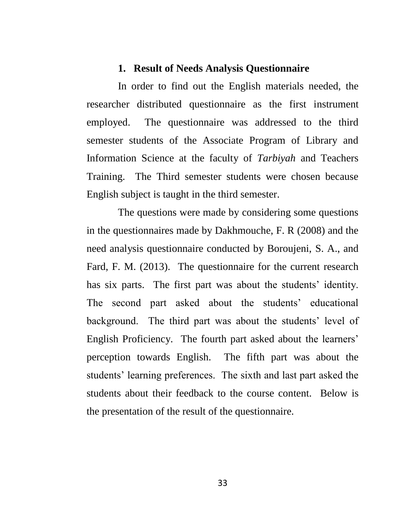### **1. Result of Needs Analysis Questionnaire**

In order to find out the English materials needed, the researcher distributed questionnaire as the first instrument employed. The questionnaire was addressed to the third semester students of the Associate Program of Library and Information Science at the faculty of *Tarbiyah* and Teachers Training. The Third semester students were chosen because English subject is taught in the third semester.

The questions were made by considering some questions in the questionnaires made by Dakhmouche, F. R (2008) and the need analysis questionnaire conducted by Boroujeni, S. A., and Fard, F. M. (2013). The questionnaire for the current research has six parts. The first part was about the students' identity. The second part asked about the students' educational background. The third part was about the students' level of English Proficiency. The fourth part asked about the learners' perception towards English. The fifth part was about the students" learning preferences. The sixth and last part asked the students about their feedback to the course content. Below is the presentation of the result of the questionnaire.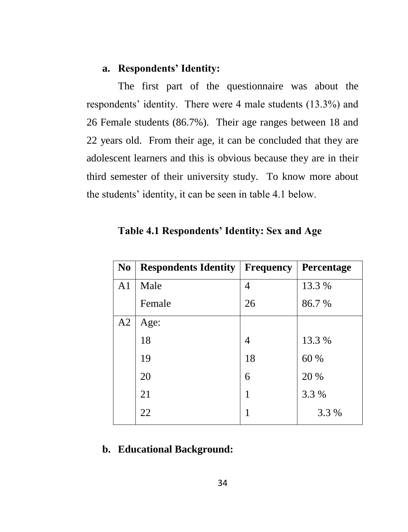### **a. Respondents' Identity:**

The first part of the questionnaire was about the respondents' identity. There were 4 male students (13.3%) and 26 Female students (86.7%). Their age ranges between 18 and 22 years old. From their age, it can be concluded that they are adolescent learners and this is obvious because they are in their third semester of their university study. To know more about the students" identity, it can be seen in table 4.1 below.

| N <sub>0</sub> | <b>Respondents Identity</b> | <b>Frequency</b> | Percentage |
|----------------|-----------------------------|------------------|------------|
| A <sub>1</sub> | Male                        | 4                | 13.3 %     |
|                | Female                      | 26               | 86.7%      |
| A2             | Age:                        |                  |            |
|                | 18                          | 4                | 13.3 %     |
|                | 19                          | 18               | 60 %       |
|                | 20                          | 6                | 20 %       |
|                | 21                          | 1                | 3.3 %      |
|                | 22                          | 1                | 3.3 %      |

**Table 4.1 Respondents' Identity: Sex and Age** 

### **b. Educational Background:**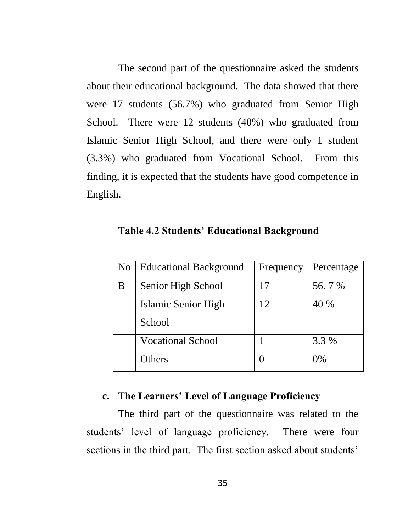The second part of the questionnaire asked the students about their educational background. The data showed that there were 17 students (56.7%) who graduated from Senior High School. There were 12 students (40%) who graduated from Islamic Senior High School, and there were only 1 student (3.3%) who graduated from Vocational School. From this finding, it is expected that the students have good competence in English.

| N <sub>o</sub> | <b>Educational Background</b> | Frequency | Percentage |
|----------------|-------------------------------|-----------|------------|
| В              | Senior High School            | 17        | 56.7%      |
|                | Islamic Senior High           | 12        | 40 %       |
|                | School                        |           |            |
|                | <b>Vocational School</b>      |           | 3.3 %      |
|                | Others                        |           | $0\%$      |

**Table 4.2 Students' Educational Background**

### **c. The Learners' Level of Language Proficiency**

The third part of the questionnaire was related to the students" level of language proficiency. There were four sections in the third part. The first section asked about students'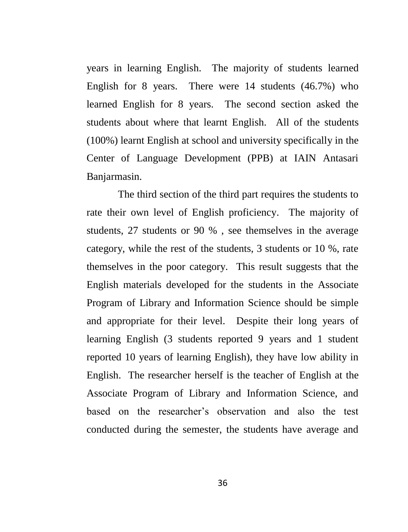years in learning English. The majority of students learned English for 8 years. There were 14 students (46.7%) who learned English for 8 years. The second section asked the students about where that learnt English. All of the students (100%) learnt English at school and university specifically in the Center of Language Development (PPB) at IAIN Antasari Banjarmasin.

The third section of the third part requires the students to rate their own level of English proficiency. The majority of students, 27 students or 90 % , see themselves in the average category, while the rest of the students, 3 students or 10 %, rate themselves in the poor category. This result suggests that the English materials developed for the students in the Associate Program of Library and Information Science should be simple and appropriate for their level. Despite their long years of learning English (3 students reported 9 years and 1 student reported 10 years of learning English), they have low ability in English. The researcher herself is the teacher of English at the Associate Program of Library and Information Science, and based on the researcher"s observation and also the test conducted during the semester, the students have average and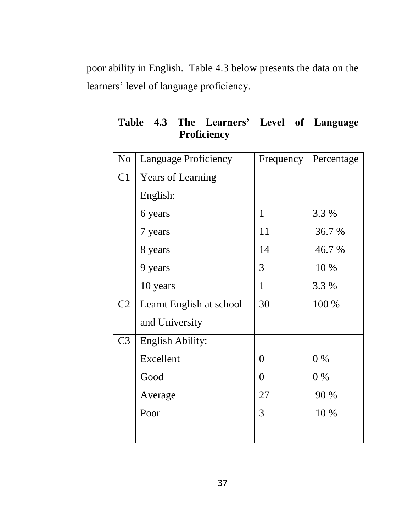poor ability in English. Table 4.3 below presents the data on the learners' level of language proficiency.

| N <sub>o</sub> | Language Proficiency     | Frequency        | Percentage |
|----------------|--------------------------|------------------|------------|
| C1             | <b>Years of Learning</b> |                  |            |
|                | English:                 |                  |            |
|                | 6 years                  | $\mathbf{1}$     | 3.3 %      |
|                | 7 years                  | 11               | 36.7%      |
|                | 8 years                  | 14               | 46.7 %     |
|                | 9 years                  | 3                | 10 %       |
|                | 10 years                 | 1                | 3.3 %      |
| C <sub>2</sub> | Learnt English at school | 30               | 100 %      |
|                | and University           |                  |            |
| C <sub>3</sub> | <b>English Ability:</b>  |                  |            |
|                | Excellent                | $\boldsymbol{0}$ | $0\%$      |
|                | Good                     | $\boldsymbol{0}$ | $0\%$      |
|                | Average                  | 27               | 90 %       |
|                | Poor                     | 3                | 10 %       |
|                |                          |                  |            |

**Table 4.3 The Learners' Level of Language Proficiency**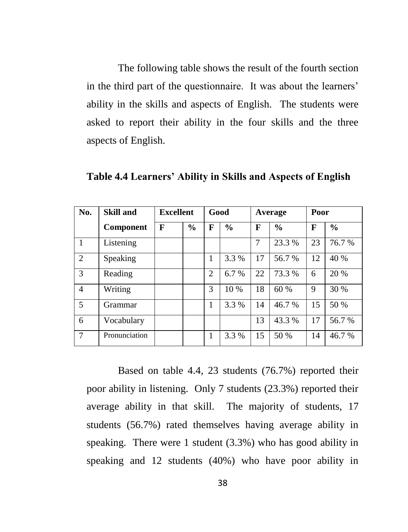The following table shows the result of the fourth section in the third part of the questionnaire. It was about the learners' ability in the skills and aspects of English. The students were asked to report their ability in the four skills and the three aspects of English.

| No.            | <b>Skill and</b> | <b>Excellent</b> |               | Good           |               | Average |               | Poor |               |
|----------------|------------------|------------------|---------------|----------------|---------------|---------|---------------|------|---------------|
|                | Component        | F                | $\frac{0}{0}$ | F              | $\frac{0}{0}$ | F       | $\frac{0}{0}$ | F    | $\frac{0}{0}$ |
| $\mathbf{1}$   | Listening        |                  |               |                |               | 7       | 23.3 %        | 23   | 76.7 %        |
| 2              | Speaking         |                  |               | 1              | 3.3 %         | 17      | 56.7%         | 12   | 40 %          |
| 3              | Reading          |                  |               | $\overline{c}$ | 6.7%          | 22      | 73.3 %        | 6    | 20 %          |
| $\overline{4}$ | Writing          |                  |               | 3              | 10 %          | 18      | 60 %          | 9    | 30 %          |
| 5              | Grammar          |                  |               | 1              | 3.3 %         | 14      | 46.7%         | 15   | 50 %          |
| 6              | Vocabulary       |                  |               |                |               | 13      | 43.3 %        | 17   | 56.7 %        |
| 7              | Pronunciation    |                  |               | 1              | 3.3 %         | 15      | 50 %          | 14   | 46.7%         |

**Table 4.4 Learners' Ability in Skills and Aspects of English**

Based on table 4.4, 23 students (76.7%) reported their poor ability in listening. Only 7 students (23.3%) reported their average ability in that skill. The majority of students, 17 students (56.7%) rated themselves having average ability in speaking. There were 1 student (3.3%) who has good ability in speaking and 12 students (40%) who have poor ability in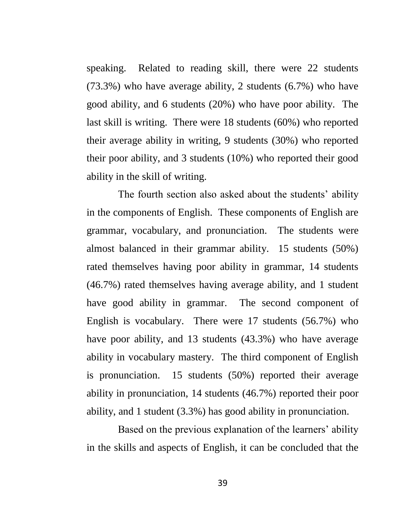speaking. Related to reading skill, there were 22 students (73.3%) who have average ability, 2 students (6.7%) who have good ability, and 6 students (20%) who have poor ability. The last skill is writing. There were 18 students (60%) who reported their average ability in writing, 9 students (30%) who reported their poor ability, and 3 students (10%) who reported their good ability in the skill of writing.

The fourth section also asked about the students' ability in the components of English. These components of English are grammar, vocabulary, and pronunciation. The students were almost balanced in their grammar ability. 15 students (50%) rated themselves having poor ability in grammar, 14 students (46.7%) rated themselves having average ability, and 1 student have good ability in grammar. The second component of English is vocabulary. There were 17 students (56.7%) who have poor ability, and 13 students (43.3%) who have average ability in vocabulary mastery. The third component of English is pronunciation. 15 students (50%) reported their average ability in pronunciation, 14 students (46.7%) reported their poor ability, and 1 student (3.3%) has good ability in pronunciation.

Based on the previous explanation of the learners' ability in the skills and aspects of English, it can be concluded that the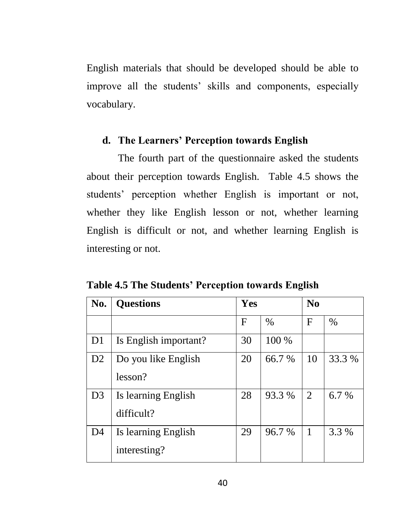English materials that should be developed should be able to improve all the students' skills and components, especially vocabulary.

### **d. The Learners' Perception towards English**

The fourth part of the questionnaire asked the students about their perception towards English. Table 4.5 shows the students" perception whether English is important or not, whether they like English lesson or not, whether learning English is difficult or not, and whether learning English is interesting or not.

**Table 4.5 The Students' Perception towards English**

| No.            | <b>Questions</b>      | Yes |        |                | N <sub>0</sub> |  |  |
|----------------|-----------------------|-----|--------|----------------|----------------|--|--|
|                |                       | F   | $\%$   | F              | $\%$           |  |  |
| D <sub>1</sub> | Is English important? | 30  | 100 %  |                |                |  |  |
| D2             | Do you like English   | 20  | 66.7 % | 10             | 33.3 %         |  |  |
|                | lesson?               |     |        |                |                |  |  |
| D <sub>3</sub> | Is learning English   | 28  | 93.3 % | $\overline{2}$ | 6.7 %          |  |  |
|                | difficult?            |     |        |                |                |  |  |
| D <sub>4</sub> | Is learning English   | 29  | 96.7%  | 1              | 3.3 %          |  |  |
|                | interesting?          |     |        |                |                |  |  |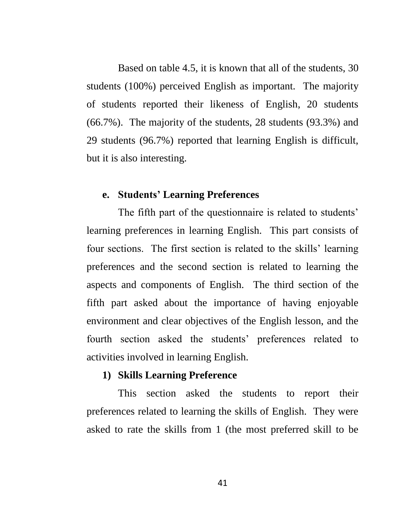Based on table 4.5, it is known that all of the students, 30 students (100%) perceived English as important. The majority of students reported their likeness of English, 20 students (66.7%). The majority of the students, 28 students (93.3%) and 29 students (96.7%) reported that learning English is difficult, but it is also interesting.

### **e. Students' Learning Preferences**

The fifth part of the questionnaire is related to students' learning preferences in learning English. This part consists of four sections. The first section is related to the skills" learning preferences and the second section is related to learning the aspects and components of English. The third section of the fifth part asked about the importance of having enjoyable environment and clear objectives of the English lesson, and the fourth section asked the students" preferences related to activities involved in learning English.

### **1) Skills Learning Preference**

This section asked the students to report their preferences related to learning the skills of English. They were asked to rate the skills from 1 (the most preferred skill to be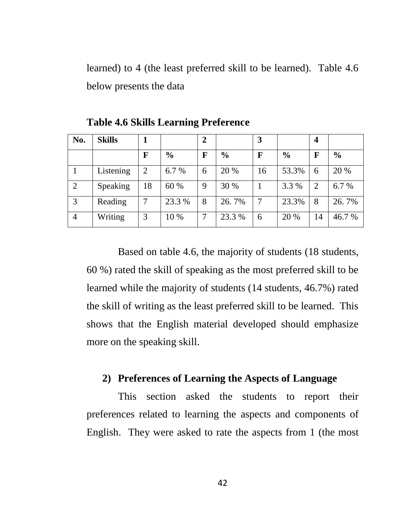learned) to 4 (the least preferred skill to be learned). Table 4.6 below presents the data

| No.            | <b>Skills</b> |    |               | 2 |               | 3  |               | $\overline{\mathbf{4}}$ |               |
|----------------|---------------|----|---------------|---|---------------|----|---------------|-------------------------|---------------|
|                |               | F  | $\frac{0}{0}$ | F | $\frac{0}{0}$ | F  | $\frac{6}{9}$ | F                       | $\frac{0}{0}$ |
|                | Listening     | 2  | 6.7 %         | 6 | 20 %          | 16 | 53.3%         | 6                       | 20 %          |
| 2              | Speaking      | 18 | 60 %          | 9 | 30 %          |    | 3.3 %         | $\overline{c}$          | 6.7%          |
| 3              | Reading       |    | 23.3 %        | 8 | 26.7%         | 7  | 23.3%         | 8                       | 26.7%         |
| $\overline{4}$ | Writing       | 3  | 10 %          | 7 | 23.3 %        | 6  | 20 %          | 14                      | 46.7 %        |

**Table 4.6 Skills Learning Preference**

Based on table 4.6, the majority of students (18 students, 60 %) rated the skill of speaking as the most preferred skill to be learned while the majority of students (14 students, 46.7%) rated the skill of writing as the least preferred skill to be learned. This shows that the English material developed should emphasize more on the speaking skill.

### **2) Preferences of Learning the Aspects of Language**

This section asked the students to report their preferences related to learning the aspects and components of English. They were asked to rate the aspects from 1 (the most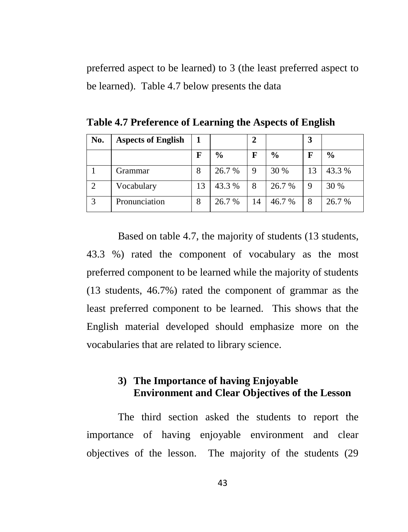preferred aspect to be learned) to 3 (the least preferred aspect to be learned). Table 4.7 below presents the data

| No. | <b>Aspects of English</b> |    |               | 2  |               | 3 |               |
|-----|---------------------------|----|---------------|----|---------------|---|---------------|
|     |                           | F  | $\frac{0}{0}$ | F  | $\frac{0}{0}$ | F | $\frac{0}{0}$ |
|     | Grammar                   | 8  | 26.7 %        |    | 30 %          |   | 43.3 %        |
|     | Vocabulary                | 13 | 43.3 %        | 8  | 26.7 %        | 9 | 30 %          |
|     | Pronunciation             | 8  | 26.7 %        | 14 | 46.7 %        | 8 | 26.7 %        |

**Table 4.7 Preference of Learning the Aspects of English**

Based on table 4.7, the majority of students (13 students, 43.3 %) rated the component of vocabulary as the most preferred component to be learned while the majority of students (13 students, 46.7%) rated the component of grammar as the least preferred component to be learned. This shows that the English material developed should emphasize more on the vocabularies that are related to library science.

### **3) The Importance of having Enjoyable Environment and Clear Objectives of the Lesson**

The third section asked the students to report the importance of having enjoyable environment and clear objectives of the lesson. The majority of the students (29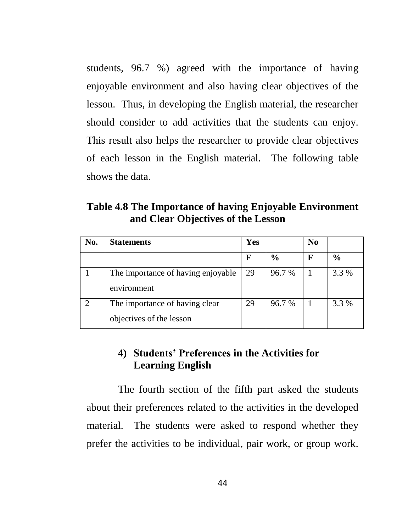students, 96.7 %) agreed with the importance of having enjoyable environment and also having clear objectives of the lesson. Thus, in developing the English material, the researcher should consider to add activities that the students can enjoy. This result also helps the researcher to provide clear objectives of each lesson in the English material. The following table shows the data.

**Table 4.8 The Importance of having Enjoyable Environment and Clear Objectives of the Lesson**

| No. | <b>Statements</b>                                          | Yes |               | N <sub>0</sub> |               |
|-----|------------------------------------------------------------|-----|---------------|----------------|---------------|
|     |                                                            | F   | $\frac{6}{9}$ | F              | $\frac{6}{6}$ |
|     | The importance of having enjoyable<br>environment          | 29  | 96.7 %        |                | 3.3 %         |
|     | The importance of having clear<br>objectives of the lesson | 29  | 96.7 %        |                | 3.3 %         |

### **4) Students' Preferences in the Activities for Learning English**

The fourth section of the fifth part asked the students about their preferences related to the activities in the developed material. The students were asked to respond whether they prefer the activities to be individual, pair work, or group work.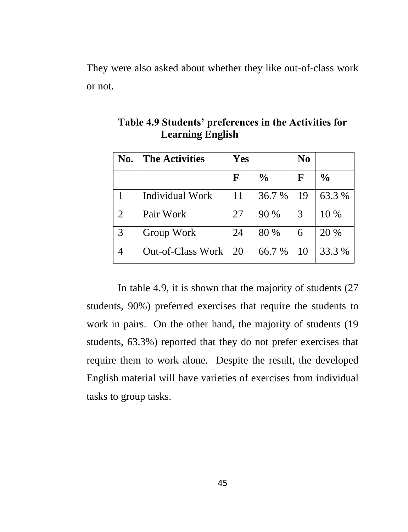They were also asked about whether they like out-of-class work or not.

| No.            | <b>The Activities</b>    | Yes |               | N <sub>0</sub> |               |
|----------------|--------------------------|-----|---------------|----------------|---------------|
|                |                          | F   | $\frac{0}{0}$ | F              | $\frac{0}{0}$ |
|                | <b>Individual Work</b>   | 11  | 36.7%         | 19             | 63.3 %        |
| $\overline{2}$ | Pair Work                | 27  | 90 %          | 3              | 10 %          |
| 3              | Group Work               | 24  | 80 %          | 6              | 20 %          |
|                | <b>Out-of-Class Work</b> | 20  | 66.7%         | 10             | 33.3 %        |

**Table 4.9 Students' preferences in the Activities for Learning English** 

In table 4.9, it is shown that the majority of students (27 students, 90%) preferred exercises that require the students to work in pairs. On the other hand, the majority of students (19 students, 63.3%) reported that they do not prefer exercises that require them to work alone. Despite the result, the developed English material will have varieties of exercises from individual tasks to group tasks.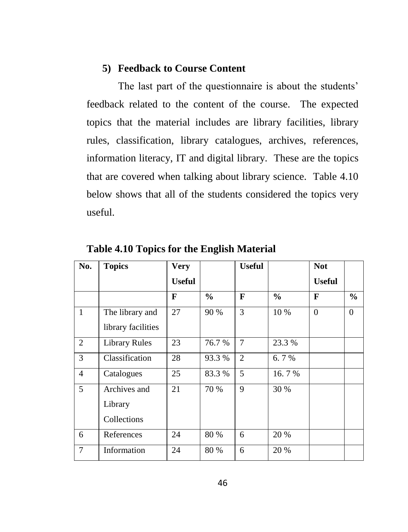### **5) Feedback to Course Content**

The last part of the questionnaire is about the students' feedback related to the content of the course. The expected topics that the material includes are library facilities, library rules, classification, library catalogues, archives, references, information literacy, IT and digital library. These are the topics that are covered when talking about library science. Table 4.10 below shows that all of the students considered the topics very useful.

| No.            | <b>Topics</b>        | <b>Very</b>   |               | <b>Useful</b>  |               | <b>Not</b>    |               |
|----------------|----------------------|---------------|---------------|----------------|---------------|---------------|---------------|
|                |                      | <b>Useful</b> |               |                |               | <b>Useful</b> |               |
|                |                      | F             | $\frac{6}{6}$ | F              | $\frac{0}{0}$ | F             | $\frac{6}{6}$ |
| $\mathbf{1}$   | The library and      | 27            | 90 %          | 3              | 10 %          | $\theta$      | $\mathbf{0}$  |
|                | library facilities   |               |               |                |               |               |               |
| $\overline{2}$ | <b>Library Rules</b> | 23            | 76.7 %        | $\tau$         | 23.3 %        |               |               |
| 3              | Classification       | 28            | 93.3 %        | $\overline{2}$ | 6.7%          |               |               |
| $\overline{4}$ | Catalogues           | 25            | 83.3 %        | 5              | 16.7%         |               |               |
| 5              | Archives and         | 21            | 70 %          | 9              | 30 %          |               |               |
|                | Library              |               |               |                |               |               |               |
|                | Collections          |               |               |                |               |               |               |
| 6              | References           | 24            | 80 %          | 6              | 20 %          |               |               |
| 7              | Information          | 24            | 80 %          | 6              | 20 %          |               |               |

**Table 4.10 Topics for the English Material**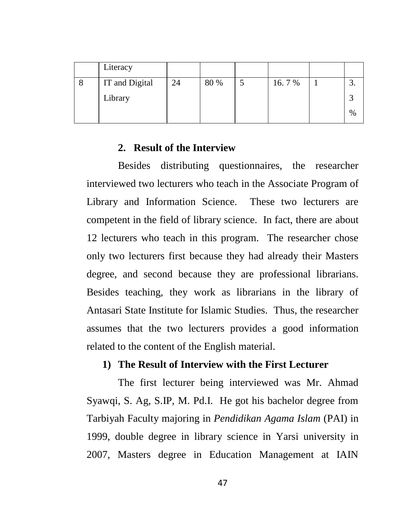| Literacy       |    |      |       |      |
|----------------|----|------|-------|------|
| IT and Digital | 24 | 80 % | 16.7% |      |
| Library        |    |      |       |      |
|                |    |      |       | $\%$ |

### **2. Result of the Interview**

Besides distributing questionnaires, the researcher interviewed two lecturers who teach in the Associate Program of Library and Information Science. These two lecturers are competent in the field of library science. In fact, there are about 12 lecturers who teach in this program. The researcher chose only two lecturers first because they had already their Masters degree, and second because they are professional librarians. Besides teaching, they work as librarians in the library of Antasari State Institute for Islamic Studies. Thus, the researcher assumes that the two lecturers provides a good information related to the content of the English material.

### **1) The Result of Interview with the First Lecturer**

The first lecturer being interviewed was Mr. Ahmad Syawqi, S. Ag, S.IP, M. Pd.I. He got his bachelor degree from Tarbiyah Faculty majoring in *Pendidikan Agama Islam* (PAI) in 1999, double degree in library science in Yarsi university in 2007, Masters degree in Education Management at IAIN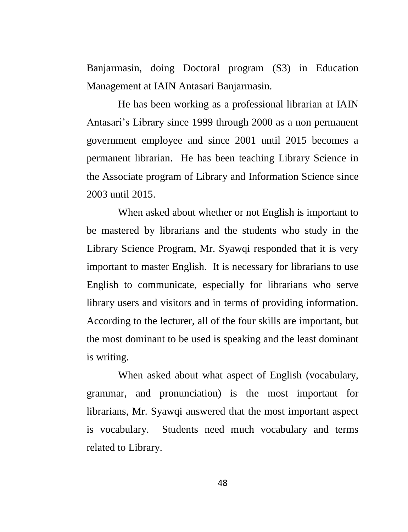Banjarmasin, doing Doctoral program (S3) in Education Management at IAIN Antasari Banjarmasin.

He has been working as a professional librarian at IAIN Antasari's Library since 1999 through 2000 as a non permanent government employee and since 2001 until 2015 becomes a permanent librarian. He has been teaching Library Science in the Associate program of Library and Information Science since 2003 until 2015.

When asked about whether or not English is important to be mastered by librarians and the students who study in the Library Science Program, Mr. Syawqi responded that it is very important to master English. It is necessary for librarians to use English to communicate, especially for librarians who serve library users and visitors and in terms of providing information. According to the lecturer, all of the four skills are important, but the most dominant to be used is speaking and the least dominant is writing.

When asked about what aspect of English (vocabulary, grammar, and pronunciation) is the most important for librarians, Mr. Syawqi answered that the most important aspect is vocabulary. Students need much vocabulary and terms related to Library.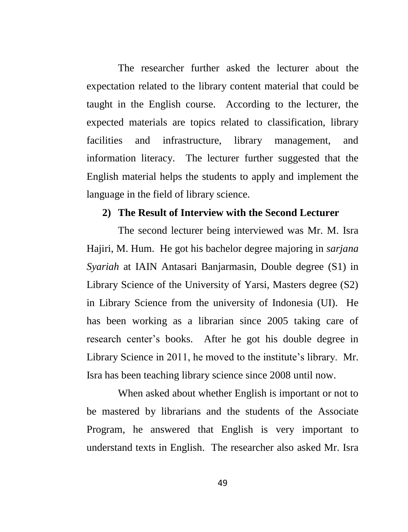The researcher further asked the lecturer about the expectation related to the library content material that could be taught in the English course. According to the lecturer, the expected materials are topics related to classification, library facilities and infrastructure, library management, and information literacy. The lecturer further suggested that the English material helps the students to apply and implement the language in the field of library science.

#### **2) The Result of Interview with the Second Lecturer**

The second lecturer being interviewed was Mr. M. Isra Hajiri, M. Hum. He got his bachelor degree majoring in *sarjana Syariah* at IAIN Antasari Banjarmasin, Double degree (S1) in Library Science of the University of Yarsi, Masters degree (S2) in Library Science from the university of Indonesia (UI). He has been working as a librarian since 2005 taking care of research center"s books. After he got his double degree in Library Science in 2011, he moved to the institute's library. Mr. Isra has been teaching library science since 2008 until now.

When asked about whether English is important or not to be mastered by librarians and the students of the Associate Program, he answered that English is very important to understand texts in English. The researcher also asked Mr. Isra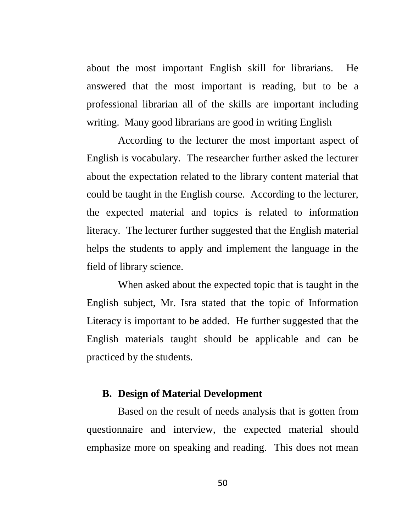about the most important English skill for librarians. He answered that the most important is reading, but to be a professional librarian all of the skills are important including writing. Many good librarians are good in writing English

According to the lecturer the most important aspect of English is vocabulary. The researcher further asked the lecturer about the expectation related to the library content material that could be taught in the English course. According to the lecturer, the expected material and topics is related to information literacy. The lecturer further suggested that the English material helps the students to apply and implement the language in the field of library science.

When asked about the expected topic that is taught in the English subject, Mr. Isra stated that the topic of Information Literacy is important to be added. He further suggested that the English materials taught should be applicable and can be practiced by the students.

### **B. Design of Material Development**

Based on the result of needs analysis that is gotten from questionnaire and interview, the expected material should emphasize more on speaking and reading. This does not mean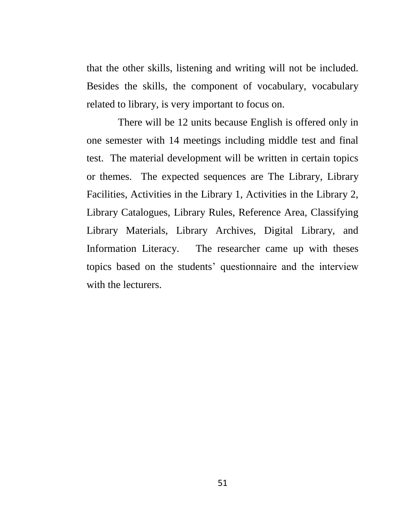that the other skills, listening and writing will not be included. Besides the skills, the component of vocabulary, vocabulary related to library, is very important to focus on.

There will be 12 units because English is offered only in one semester with 14 meetings including middle test and final test. The material development will be written in certain topics or themes. The expected sequences are The Library, Library Facilities, Activities in the Library 1, Activities in the Library 2, Library Catalogues, Library Rules, Reference Area, Classifying Library Materials, Library Archives, Digital Library, and Information Literacy. The researcher came up with theses topics based on the students" questionnaire and the interview with the lecturers.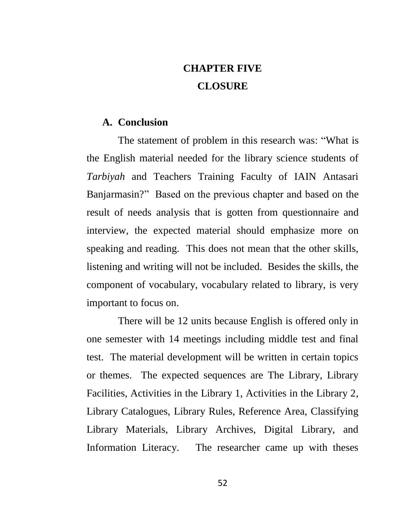# **CHAPTER FIVE CLOSURE**

### **A. Conclusion**

The statement of problem in this research was: "What is the English material needed for the library science students of *Tarbiyah* and Teachers Training Faculty of IAIN Antasari Banjarmasin?" Based on the previous chapter and based on the result of needs analysis that is gotten from questionnaire and interview, the expected material should emphasize more on speaking and reading. This does not mean that the other skills, listening and writing will not be included. Besides the skills, the component of vocabulary, vocabulary related to library, is very important to focus on.

There will be 12 units because English is offered only in one semester with 14 meetings including middle test and final test. The material development will be written in certain topics or themes. The expected sequences are The Library, Library Facilities, Activities in the Library 1, Activities in the Library 2, Library Catalogues, Library Rules, Reference Area, Classifying Library Materials, Library Archives, Digital Library, and Information Literacy. The researcher came up with theses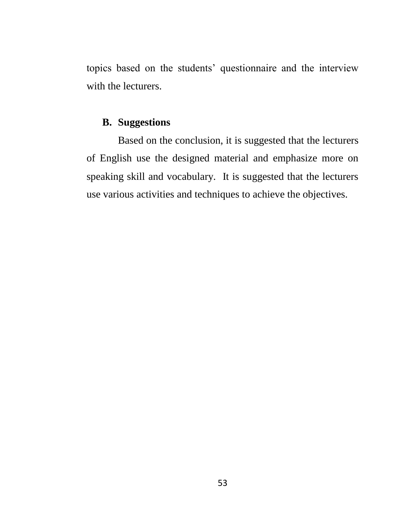topics based on the students" questionnaire and the interview with the lecturers.

### **B. Suggestions**

Based on the conclusion, it is suggested that the lecturers of English use the designed material and emphasize more on speaking skill and vocabulary. It is suggested that the lecturers use various activities and techniques to achieve the objectives.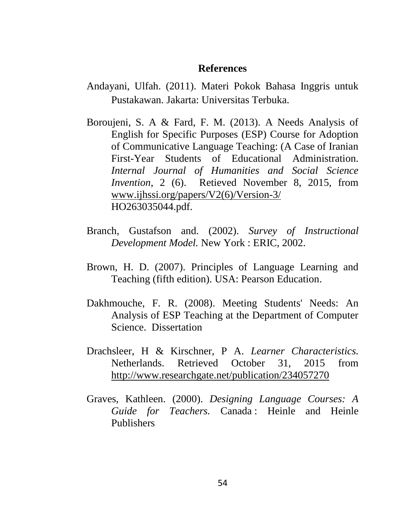#### **References**

- Andayani, Ulfah. (2011). Materi Pokok Bahasa Inggris untuk Pustakawan. Jakarta: Universitas Terbuka.
- Boroujeni, S. A & Fard, F. M. (2013). A Needs Analysis of English for Specific Purposes (ESP) Course for Adoption of Communicative Language Teaching: (A Case of Iranian First-Year Students of Educational Administration. *Internal Journal of Humanities and Social Science Invention*, 2 (6). Retieved November 8, 2015, from [www.ijhssi.org/papers/V2\(6\)/Version-3/](http://www.ijhssi.org/papers/V2(6)/Version-3/) HO263035044.pdf.
- Branch, Gustafson and. (2002). *Survey of Instructional Development Model.* New York : ERIC, 2002.
- Brown, H. D. (2007). Principles of Language Learning and Teaching (fifth edition). USA: Pearson Education.
- Dakhmouche, F. R. (2008). Meeting Students' Needs: An Analysis of ESP Teaching at the Department of Computer Science. Dissertation
- Drachsleer, H & Kirschner, P A. *Learner Characteristics.*  Netherlands. Retrieved October 31, 2015 from <http://www.researchgate.net/publication/234057270>
- Graves, Kathleen. (2000). *Designing Language Courses: A Guide for Teachers.* Canada : Heinle and Heinle Publishers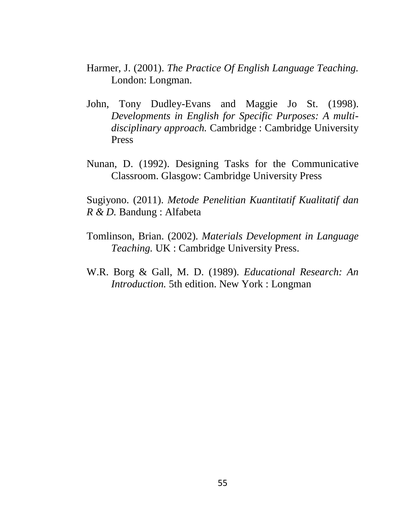- Harmer, J. (2001). *The Practice Of English Language Teaching.*  London: Longman.
- John, Tony Dudley-Evans and Maggie Jo St. (1998). *Developments in English for Specific Purposes: A multidisciplinary approach.* Cambridge : Cambridge University Press
- Nunan, D. (1992). Designing Tasks for the Communicative Classroom. Glasgow: Cambridge University Press

Sugiyono. (2011). *Metode Penelitian Kuantitatif Kualitatif dan R & D.* Bandung : Alfabeta

- Tomlinson, Brian. (2002). *Materials Development in Language Teaching.* UK : Cambridge University Press.
- W.R. Borg & Gall, M. D. (1989). *Educational Research: An Introduction.* 5th edition. New York : Longman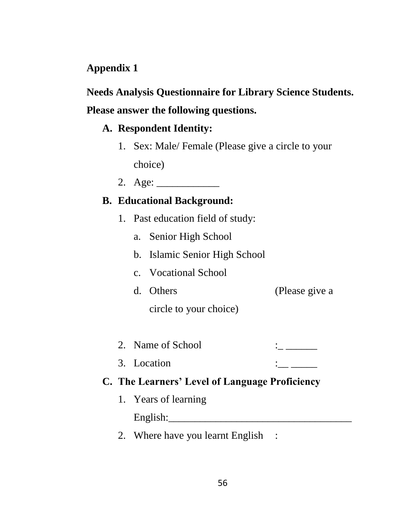### **Appendix 1**

# **Needs Analysis Questionnaire for Library Science Students. Please answer the following questions.**

# **A. Respondent Identity:**

- 1. Sex: Male/ Female (Please give a circle to your choice)
- 2. Age: \_\_\_\_\_\_\_\_\_\_\_\_

### **B. Educational Background:**

- 1. Past education field of study:
	- a. Senior High School
	- b. Islamic Senior High School
	- c. Vocational School
	- d. Others (Please give a
		- circle to your choice)
- 2. Name of School  $\vdots$
- 3. Location  $\qquad \qquad \vdots$

### **C. The Learners' Level of Language Proficiency**

- 1. Years of learning  $English:$
- 2. Where have you learnt English :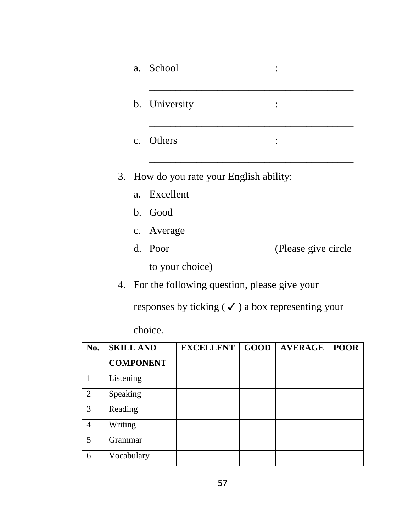|                |                  | a.             | School           |                                       |             |                                                               |             |
|----------------|------------------|----------------|------------------|---------------------------------------|-------------|---------------------------------------------------------------|-------------|
|                |                  |                | b. University    |                                       |             |                                                               |             |
|                |                  | $\mathbf{c}$ . | Others           |                                       |             |                                                               |             |
|                | 3.               |                |                  | How do you rate your English ability: |             |                                                               |             |
|                |                  | a.             | Excellent        |                                       |             |                                                               |             |
|                |                  | $\mathbf{b}$ . | Good             |                                       |             |                                                               |             |
|                |                  |                | c. Average       |                                       |             |                                                               |             |
|                |                  | d.             | Poor             |                                       |             | (Please give circle                                           |             |
|                |                  |                |                  | to your choice)                       |             |                                                               |             |
|                |                  |                |                  |                                       |             | 4. For the following question, please give your               |             |
|                |                  |                |                  |                                       |             | responses by ticking ( $\checkmark$ ) a box representing your |             |
|                |                  |                | choice.          |                                       |             |                                                               |             |
| No.            | <b>SKILL AND</b> |                |                  | <b>EXCELLENT</b>                      | <b>GOOD</b> | <b>AVERAGE</b>                                                | <b>POOR</b> |
|                |                  |                | <b>COMPONENT</b> |                                       |             |                                                               |             |
| $\mathbf{1}$   | Listening        |                |                  |                                       |             |                                                               |             |
| $\overline{2}$ | Speaking         |                |                  |                                       |             |                                                               |             |

| ۰.      |  |
|---------|--|
| ۰.<br>v |  |

3 Reading 4 Writing 5 Grammar 6 Vocabulary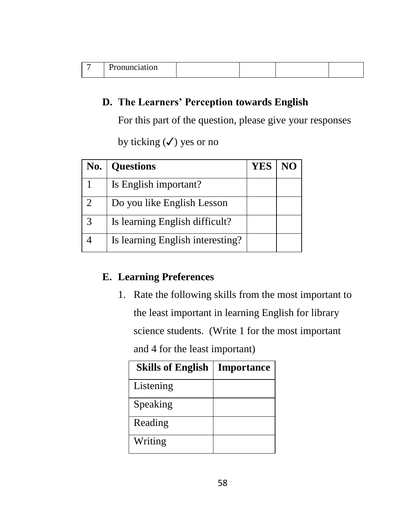|  | чистанон<br>. |  |  |  |  |
|--|---------------|--|--|--|--|
|--|---------------|--|--|--|--|

### **D. The Learners' Perception towards English**

For this part of the question, please give your responses

by ticking  $(\checkmark)$  yes or no

| No.                         | <b>Questions</b>                 | YES | NO |
|-----------------------------|----------------------------------|-----|----|
|                             | Is English important?            |     |    |
| $\mathcal{D}_{\mathcal{L}}$ | Do you like English Lesson       |     |    |
| 3                           | Is learning English difficult?   |     |    |
|                             | Is learning English interesting? |     |    |

### **E. Learning Preferences**

1. Rate the following skills from the most important to the least important in learning English for library science students. (Write 1 for the most important and 4 for the least important)

| <b>Skills of English</b> | <b>Importance</b> |
|--------------------------|-------------------|
| Listening                |                   |
| Speaking                 |                   |
| Reading                  |                   |
| Writing                  |                   |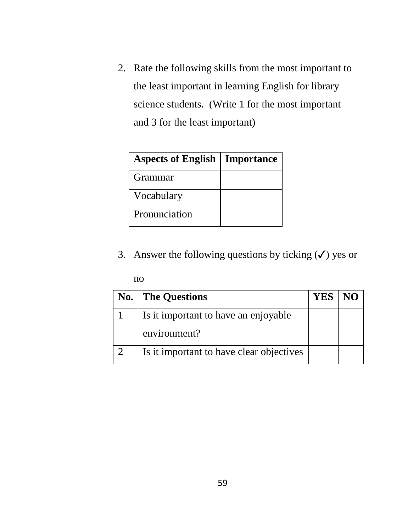2. Rate the following skills from the most important to the least important in learning English for library science students. (Write 1 for the most important and 3 for the least important)

| <b>Aspects of English   Importance</b> |  |
|----------------------------------------|--|
| Grammar                                |  |
| Vocabulary                             |  |
| Pronunciation                          |  |

3. Answer the following questions by ticking  $(\checkmark)$  yes or

no

| $\bf{No.}$ | <b>The Questions</b>                     | <b>YES</b> |  |
|------------|------------------------------------------|------------|--|
|            | Is it important to have an enjoyable     |            |  |
|            | environment?                             |            |  |
|            | Is it important to have clear objectives |            |  |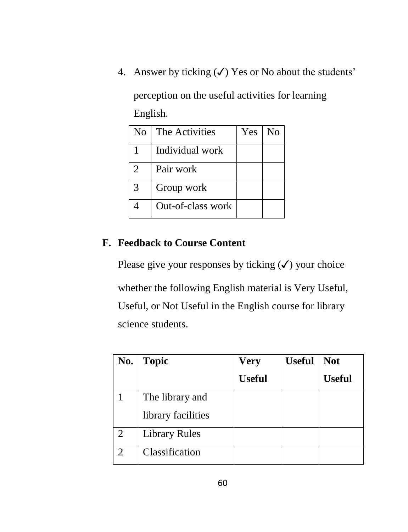4. Answer by ticking  $(\checkmark)$  Yes or No about the students'

perception on the useful activities for learning English.

| No                          | The Activities    | <b>Yes</b> | $\rm No$ |
|-----------------------------|-------------------|------------|----------|
|                             | Individual work   |            |          |
| $\mathcal{D}_{\mathcal{L}}$ | Pair work         |            |          |
| $\mathcal{R}$               | Group work        |            |          |
|                             | Out-of-class work |            |          |

### **F. Feedback to Course Content**

Please give your responses by ticking  $(\checkmark)$  your choice

whether the following English material is Very Useful, Useful, or Not Useful in the English course for library science students.

| No.                         | <b>Topic</b>         | <b>Very</b>   | <b>Useful</b> | <b>Not</b>    |
|-----------------------------|----------------------|---------------|---------------|---------------|
|                             |                      | <b>Useful</b> |               | <b>Useful</b> |
|                             | The library and      |               |               |               |
|                             | library facilities   |               |               |               |
| $\mathcal{D}_{\mathcal{L}}$ | <b>Library Rules</b> |               |               |               |
| $\mathcal{D}$               | Classification       |               |               |               |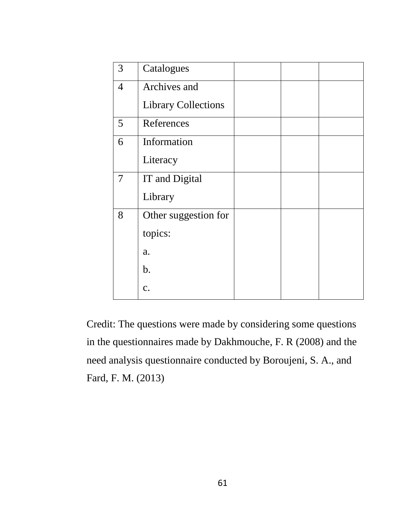| 3              | Catalogues                 |  |  |
|----------------|----------------------------|--|--|
| $\overline{4}$ | Archives and               |  |  |
|                | <b>Library Collections</b> |  |  |
| 5              | References                 |  |  |
| 6              | Information                |  |  |
|                | Literacy                   |  |  |
| 7              | IT and Digital             |  |  |
|                | Library                    |  |  |
| 8              | Other suggestion for       |  |  |
|                | topics:                    |  |  |
|                | a.                         |  |  |
|                | b.                         |  |  |
|                | c.                         |  |  |
|                |                            |  |  |

Credit: The questions were made by considering some questions in the questionnaires made by Dakhmouche, F. R (2008) and the need analysis questionnaire conducted by Boroujeni, S. A., and Fard, F. M. (2013)